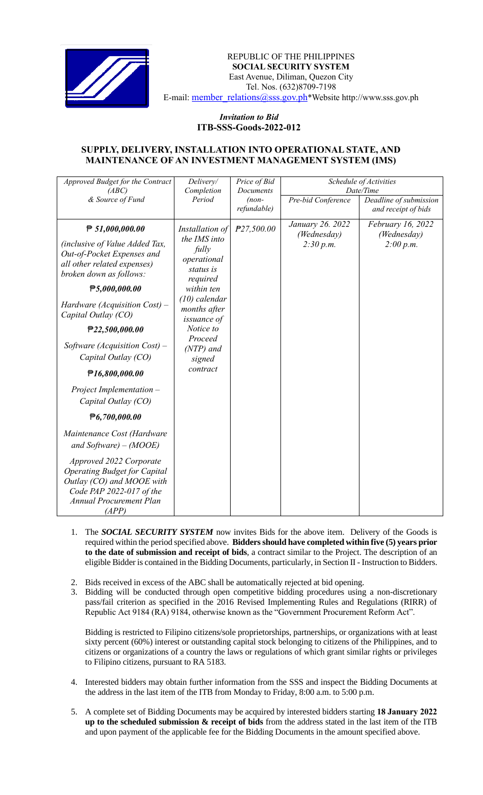

## REPUBLIC OF THE PHILIPPINES  **SOCIAL SECURITY SYSTEM** East Avenue, Diliman, Quezon City Tel. Nos. (632)8709-7198 E-mail: member\_relations@sss.gov.ph\*Website http://www.sss.gov.ph

## *Invitation to Bid*  **ITB-SSS-Goods-2022-012**

## **SUPPLY, DELIVERY, INSTALLATION INTO OPERATIONAL STATE, AND MAINTENANCE OF AN INVESTMENT MANAGEMENT SYSTEM (IMS)**

| Approved Budget for the Contract                                                                                                                                                                                                                                                                                                                                                                                                                                                                                                                                                    | Delivery/                                                                                                                                                                                                     | Price of Bid                        | Schedule of Activities<br>Date/Time          |                                               |
|-------------------------------------------------------------------------------------------------------------------------------------------------------------------------------------------------------------------------------------------------------------------------------------------------------------------------------------------------------------------------------------------------------------------------------------------------------------------------------------------------------------------------------------------------------------------------------------|---------------------------------------------------------------------------------------------------------------------------------------------------------------------------------------------------------------|-------------------------------------|----------------------------------------------|-----------------------------------------------|
| (ABC)<br>& Source of Fund                                                                                                                                                                                                                                                                                                                                                                                                                                                                                                                                                           | Completion<br>Period                                                                                                                                                                                          | Documents<br>$(non-$<br>refundable) | Pre-bid Conference                           | Deadline of submission<br>and receipt of bids |
| $\mathsf{P}51,000,000.00$<br><i>(inclusive of Value Added Tax,</i><br>Out-of-Pocket Expenses and<br>all other related expenses)<br>broken down as follows:<br>P5,000,000.00<br>Hardware (Acquisition Cost) $-$<br>Capital Outlay (CO)<br>P22,500,000.00<br>Software (Acquisition Cost) –<br>Capital Outlay (CO)<br>P16,800,000.00<br>Project Implementation -<br>Capital Outlay (CO)<br>$\mathbf{\mathcal{F}}6,700,000.00$<br>Maintenance Cost (Hardware<br>and Software) – $(MOOE)$<br>Approved 2022 Corporate<br><b>Operating Budget for Capital</b><br>Outlay (CO) and MOOE with | Installation of<br>the IMS into<br>fully<br>operational<br>status is<br>required<br>within ten<br>$(10)$ calendar<br>months after<br>issuance of<br>Notice to<br>Proceed<br>$(NTP)$ and<br>signed<br>contract | P27,500.00                          | January 26. 2022<br>(Wednesday)<br>2:30 p.m. | February 16, 2022<br>(Wednesday)<br>2:00 p.m. |
| Code PAP 2022-017 of the<br><b>Annual Procurement Plan</b><br>(APP)                                                                                                                                                                                                                                                                                                                                                                                                                                                                                                                 |                                                                                                                                                                                                               |                                     |                                              |                                               |

- 1. The *SOCIAL SECURITY SYSTEM* now invites Bids for the above item. Delivery of the Goods is required within the period specified above. **Bidders should have completed within five (5) years prior to the date of submission and receipt of bids**, a contract similar to the Project. The description of an eligible Bidder is contained in the Bidding Documents, particularly, in Section II - Instruction to Bidders.
- 2. Bids received in excess of the ABC shall be automatically rejected at bid opening.
- 3. Bidding will be conducted through open competitive bidding procedures using a non-discretionary pass/fail criterion as specified in the 2016 Revised Implementing Rules and Regulations (RIRR) of Republic Act 9184 (RA) 9184, otherwise known as the "Government Procurement Reform Act".

Bidding is restricted to Filipino citizens/sole proprietorships, partnerships, or organizations with at least sixty percent (60%) interest or outstanding capital stock belonging to citizens of the Philippines, and to citizens or organizations of a country the laws or regulations of which grant similar rights or privileges to Filipino citizens, pursuant to RA 5183.

- 4. Interested bidders may obtain further information from the SSS and inspect the Bidding Documents at the address in the last item of the ITB from Monday to Friday, 8:00 a.m. to 5:00 p.m.
- 5. A complete set of Bidding Documents may be acquired by interested bidders starting **18 January 2022 up to the scheduled submission & receipt of bids** from the address stated in the last item of the ITB and upon payment of the applicable fee for the Bidding Documents in the amount specified above.